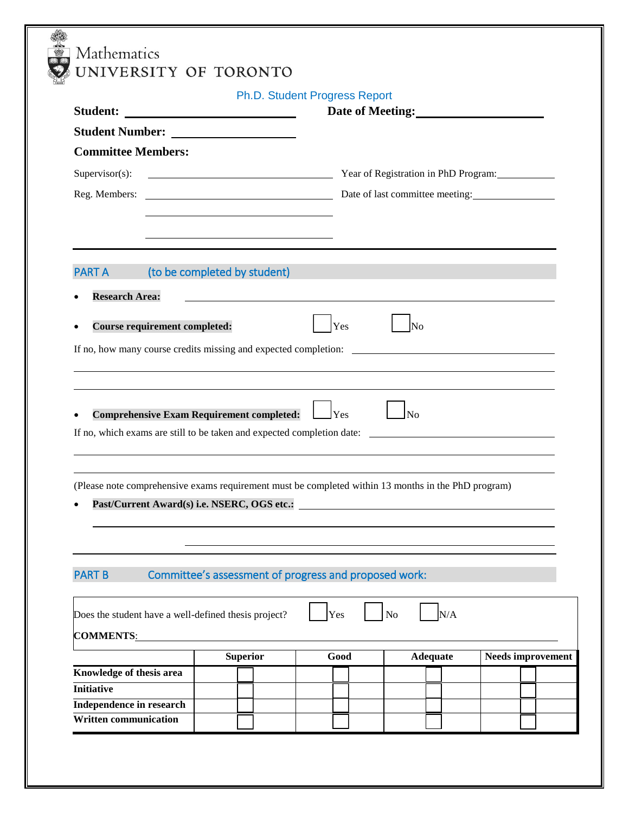|                                                                                                                                                                                                                                                  |                                                       | Ph.D. Student Progress Report | Date of Meeting:                                                                                                    |                          |  |
|--------------------------------------------------------------------------------------------------------------------------------------------------------------------------------------------------------------------------------------------------|-------------------------------------------------------|-------------------------------|---------------------------------------------------------------------------------------------------------------------|--------------------------|--|
|                                                                                                                                                                                                                                                  |                                                       |                               |                                                                                                                     |                          |  |
| <b>Committee Members:</b>                                                                                                                                                                                                                        |                                                       |                               |                                                                                                                     |                          |  |
|                                                                                                                                                                                                                                                  |                                                       |                               |                                                                                                                     |                          |  |
| $Supervisor(s)$ :                                                                                                                                                                                                                                | Vear of Registration in PhD Program:                  |                               |                                                                                                                     |                          |  |
|                                                                                                                                                                                                                                                  |                                                       |                               |                                                                                                                     |                          |  |
|                                                                                                                                                                                                                                                  |                                                       |                               |                                                                                                                     |                          |  |
|                                                                                                                                                                                                                                                  |                                                       |                               |                                                                                                                     |                          |  |
|                                                                                                                                                                                                                                                  |                                                       |                               |                                                                                                                     |                          |  |
| <b>PART A</b>                                                                                                                                                                                                                                    | (to be completed by student)                          |                               | <u> 1989 - Johann Barn, mars eta bainar eta hiri eta hondaren erroman erroman erroman erroman erroman erroman e</u> |                          |  |
| <b>Research Area:</b>                                                                                                                                                                                                                            |                                                       |                               | and the control of the control of the control of the control of the control of the control of the control of the    |                          |  |
| <b>Course requirement completed:</b><br>$\bullet$                                                                                                                                                                                                |                                                       | Yes                           | No                                                                                                                  |                          |  |
|                                                                                                                                                                                                                                                  |                                                       |                               |                                                                                                                     |                          |  |
|                                                                                                                                                                                                                                                  |                                                       |                               |                                                                                                                     |                          |  |
|                                                                                                                                                                                                                                                  |                                                       |                               |                                                                                                                     |                          |  |
|                                                                                                                                                                                                                                                  |                                                       |                               |                                                                                                                     |                          |  |
|                                                                                                                                                                                                                                                  |                                                       |                               |                                                                                                                     |                          |  |
|                                                                                                                                                                                                                                                  |                                                       |                               |                                                                                                                     |                          |  |
| (Please note comprehensive exams requirement must be completed within 13 months in the PhD program)<br>Past/Current Award(s) i.e. NSERC, OGS etc.:<br>$\bullet$                                                                                  |                                                       |                               |                                                                                                                     |                          |  |
|                                                                                                                                                                                                                                                  |                                                       |                               |                                                                                                                     |                          |  |
|                                                                                                                                                                                                                                                  |                                                       |                               |                                                                                                                     |                          |  |
|                                                                                                                                                                                                                                                  | Committee's assessment of progress and proposed work: |                               |                                                                                                                     |                          |  |
|                                                                                                                                                                                                                                                  |                                                       |                               |                                                                                                                     |                          |  |
|                                                                                                                                                                                                                                                  |                                                       |                               |                                                                                                                     |                          |  |
|                                                                                                                                                                                                                                                  |                                                       | Yes                           | N/A<br>N <sub>o</sub>                                                                                               |                          |  |
|                                                                                                                                                                                                                                                  |                                                       |                               |                                                                                                                     |                          |  |
|                                                                                                                                                                                                                                                  | <b>Superior</b>                                       | Good                          | <b>Adequate</b>                                                                                                     | <b>Needs improvement</b> |  |
|                                                                                                                                                                                                                                                  |                                                       |                               |                                                                                                                     |                          |  |
| If no, which exams are still to be taken and expected completion date:<br><b>PART B</b><br>Does the student have a well-defined thesis project?<br><b>COMMENTS:</b><br>Knowledge of thesis area<br><b>Initiative</b><br>Independence in research |                                                       |                               |                                                                                                                     |                          |  |